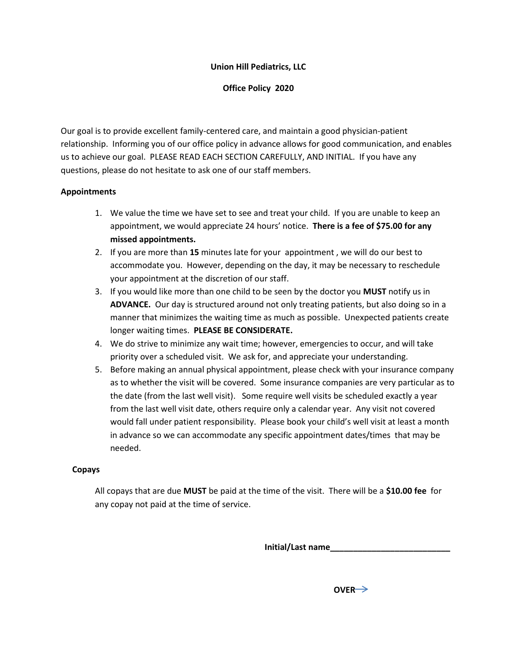# **Union Hill Pediatrics, LLC**

**Office Policy 2020**

Our goal is to provide excellent family-centered care, and maintain a good physician-patient relationship. Informing you of our office policy in advance allows for good communication, and enables us to achieve our goal. PLEASE READ EACH SECTION CAREFULLY, AND INITIAL. If you have any questions, please do not hesitate to ask one of our staff members.

# **Appointments**

- 1. We value the time we have set to see and treat your child. If you are unable to keep an appointment, we would appreciate 24 hours' notice. **There is a fee of \$75.00 for any missed appointments.**
- 2. If you are more than **15** minutes late for your appointment , we will do our best to accommodate you. However, depending on the day, it may be necessary to reschedule your appointment at the discretion of our staff.
- 3. If you would like more than one child to be seen by the doctor you **MUST** notify us in **ADVANCE.** Our day is structured around not only treating patients, but also doing so in a manner that minimizes the waiting time as much as possible. Unexpected patients create longer waiting times. **PLEASE BE CONSIDERATE.**
- 4. We do strive to minimize any wait time; however, emergencies to occur, and will take priority over a scheduled visit. We ask for, and appreciate your understanding.
- 5. Before making an annual physical appointment, please check with your insurance company as to whether the visit will be covered. Some insurance companies are very particular as to the date (from the last well visit). Some require well visits be scheduled exactly a year from the last well visit date, others require only a calendar year. Any visit not covered would fall under patient responsibility. Please book your child's well visit at least a month in advance so we can accommodate any specific appointment dates/times that may be needed.

## **Copays**

All copays that are due **MUST** be paid at the time of the visit. There will be a **\$10.00 fee** for any copay not paid at the time of service.

**Initial/Last name\_\_\_\_\_\_\_\_\_\_\_\_\_\_\_\_\_\_\_\_\_\_\_\_\_\_**

*DVER*